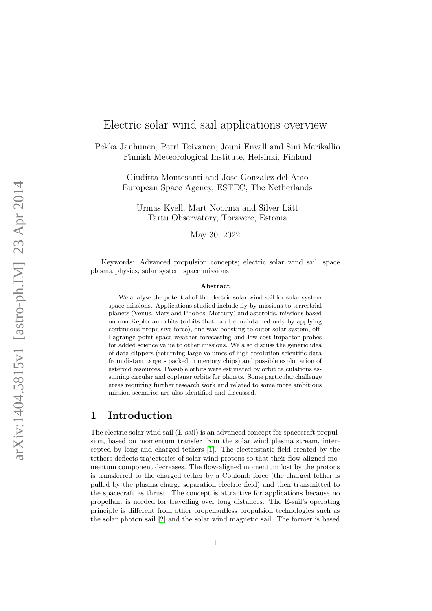# Electric solar wind sail applications overview

Pekka Janhunen, Petri Toivanen, Jouni Envall and Sini Merikallio Finnish Meteorological Institute, Helsinki, Finland

> Giuditta Montesanti and Jose Gonzalez del Amo European Space Agency, ESTEC, The Netherlands

Urmas Kvell, Mart Noorma and Silver Lätt Tartu Observatory, Tõravere, Estonia

May 30, 2022

Keywords: Advanced propulsion concepts; electric solar wind sail; space plasma physics; solar system space missions

#### Abstract

We analyse the potential of the electric solar wind sail for solar system space missions. Applications studied include fly-by missions to terrestrial planets (Venus, Mars and Phobos, Mercury) and asteroids, missions based on non-Keplerian orbits (orbits that can be maintained only by applying continuous propulsive force), one-way boosting to outer solar system, off-Lagrange point space weather forecasting and low-cost impactor probes for added science value to other missions. We also discuss the generic idea of data clippers (returning large volumes of high resolution scientific data from distant targets packed in memory chips) and possible exploitation of asteroid resources. Possible orbits were estimated by orbit calculations assuming circular and coplanar orbits for planets. Some particular challenge areas requiring further research work and related to some more ambitious mission scenarios are also identified and discussed.

# 1 Introduction

The electric solar wind sail (E-sail) is an advanced concept for spacecraft propulsion, based on momentum transfer from the solar wind plasma stream, intercepted by long and charged tethers [\[1\]](#page-13-0). The electrostatic field created by the tethers deflects trajectories of solar wind protons so that their flow-aligned momentum component decreases. The flow-aligned momentum lost by the protons is transferred to the charged tether by a Coulomb force (the charged tether is pulled by the plasma charge separation electric field) and then transmitted to the spacecraft as thrust. The concept is attractive for applications because no propellant is needed for travelling over long distances. The E-sail's operating principle is different from other propellantless propulsion technologies such as the solar photon sail [\[2\]](#page-13-1) and the solar wind magnetic sail. The former is based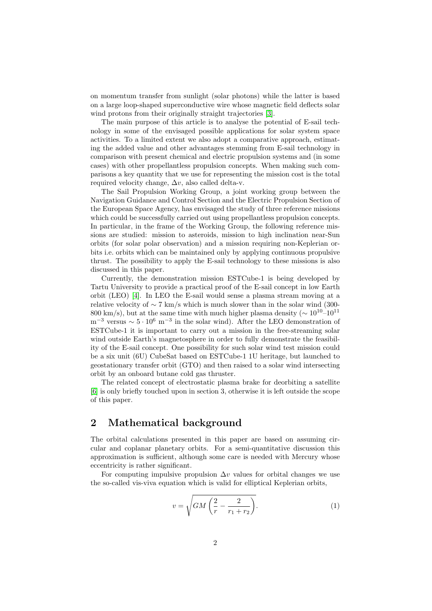on momentum transfer from sunlight (solar photons) while the latter is based on a large loop-shaped superconductive wire whose magnetic field deflects solar wind protons from their originally straight trajectories [\[3\]](#page-13-2).

The main purpose of this article is to analyse the potential of E-sail technology in some of the envisaged possible applications for solar system space activities. To a limited extent we also adopt a comparative approach, estimating the added value and other advantages stemming from E-sail technology in comparison with present chemical and electric propulsion systems and (in some cases) with other propellantless propulsion concepts. When making such comparisons a key quantity that we use for representing the mission cost is the total required velocity change,  $\Delta v$ , also called delta-v.

The Sail Propulsion Working Group, a joint working group between the Navigation Guidance and Control Section and the Electric Propulsion Section of the European Space Agency, has envisaged the study of three reference missions which could be successfully carried out using propellantless propulsion concepts. In particular, in the frame of the Working Group, the following reference missions are studied: mission to asteroids, mission to high inclination near-Sun orbits (for solar polar observation) and a mission requiring non-Keplerian orbits i.e. orbits which can be maintained only by applying continuous propulsive thrust. The possibility to apply the E-sail technology to these missions is also discussed in this paper.

Currently, the demonstration mission ESTCube-1 is being developed by Tartu University to provide a practical proof of the E-sail concept in low Earth orbit (LEO) [\[4\]](#page-13-3). In LEO the E-sail would sense a plasma stream moving at a relative velocity of  $\sim 7 \text{ km/s}$  which is much slower than in the solar wind (300-800 km/s), but at the same time with much higher plasma density ( $\sim 10^{10}$ – $10^{11}$  $\rm m^{-3}$  versus  $\sim 5 \cdot 10^6 \ \rm m^{-3}$  in the solar wind). After the LEO demonstration of ESTCube-1 it is important to carry out a mission in the free-streaming solar wind outside Earth's magnetosphere in order to fully demonstrate the feasibility of the E-sail concept. One possibility for such solar wind test mission could be a six unit (6U) CubeSat based on ESTCube-1 1U heritage, but launched to geostationary transfer orbit (GTO) and then raised to a solar wind intersecting orbit by an onboard butane cold gas thruster.

The related concept of electrostatic plasma brake for deorbiting a satellite [\[6\]](#page-13-4) is only briefly touched upon in section 3, otherwise it is left outside the scope of this paper.

# 2 Mathematical background

The orbital calculations presented in this paper are based on assuming circular and coplanar planetary orbits. For a semi-quantitative discussion this approximation is sufficient, although some care is needed with Mercury whose eccentricity is rather significant.

For computing impulsive propulsion  $\Delta v$  values for orbital changes we use the so-called vis-viva equation which is valid for elliptical Keplerian orbits,

<span id="page-1-0"></span>
$$
v = \sqrt{GM\left(\frac{2}{r} - \frac{2}{r_1 + r_2}\right)}.\tag{1}
$$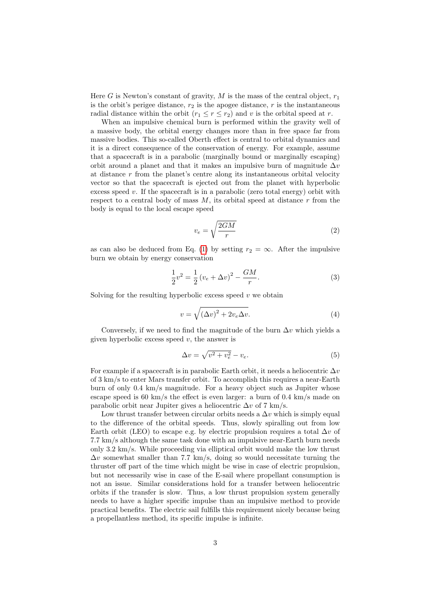Here  $G$  is Newton's constant of gravity,  $M$  is the mass of the central object,  $r_1$ is the orbit's perigee distance,  $r_2$  is the apogee distance, r is the instantaneous radial distance within the orbit  $(r_1 \le r \le r_2)$  and v is the orbital speed at r.

When an impulsive chemical burn is performed within the gravity well of a massive body, the orbital energy changes more than in free space far from massive bodies. This so-called Oberth effect is central to orbital dynamics and it is a direct consequence of the conservation of energy. For example, assume that a spacecraft is in a parabolic (marginally bound or marginally escaping) orbit around a planet and that it makes an impulsive burn of magnitude  $\Delta v$ at distance  $r$  from the planet's centre along its instantaneous orbital velocity vector so that the spacecraft is ejected out from the planet with hyperbolic excess speed  $v$ . If the spacecraft is in a parabolic (zero total energy) orbit with respect to a central body of mass  $M$ , its orbital speed at distance  $r$  from the body is equal to the local escape speed

$$
v_e = \sqrt{\frac{2GM}{r}}\tag{2}
$$

as can also be deduced from Eq. [\(1\)](#page-1-0) by setting  $r_2 = \infty$ . After the impulsive burn we obtain by energy conservation

$$
\frac{1}{2}v^2 = \frac{1}{2}(v_e + \Delta v)^2 - \frac{GM}{r}.
$$
\n(3)

Solving for the resulting hyperbolic excess speed  $v$  we obtain

$$
v = \sqrt{(\Delta v)^2 + 2v_e \Delta v}.
$$
 (4)

Conversely, if we need to find the magnitude of the burn  $\Delta v$  which yields a given hyperbolic excess speed  $v$ , the answer is

$$
\Delta v = \sqrt{v^2 + v_e^2} - v_e. \tag{5}
$$

For example if a spacecraft is in parabolic Earth orbit, it needs a heliocentric  $\Delta v$ of 3 km/s to enter Mars transfer orbit. To accomplish this requires a near-Earth burn of only 0.4 km/s magnitude. For a heavy object such as Jupiter whose escape speed is 60 km/s the effect is even larger: a burn of  $0.4 \text{ km/s}$  made on parabolic orbit near Jupiter gives a heliocentric  $\Delta v$  of 7 km/s.

Low thrust transfer between circular orbits needs a  $\Delta v$  which is simply equal to the difference of the orbital speeds. Thus, slowly spiralling out from low Earth orbit (LEO) to escape e.g. by electric propulsion requires a total  $\Delta v$  of 7.7 km/s although the same task done with an impulsive near-Earth burn needs only 3.2 km/s. While proceeding via elliptical orbit would make the low thrust  $\Delta v$  somewhat smaller than 7.7 km/s, doing so would necessitate turning the thruster off part of the time which might be wise in case of electric propulsion, but not necessarily wise in case of the E-sail where propellant consumption is not an issue. Similar considerations hold for a transfer between heliocentric orbits if the transfer is slow. Thus, a low thrust propulsion system generally needs to have a higher specific impulse than an impulsive method to provide practical benefits. The electric sail fulfills this requirement nicely because being a propellantless method, its specific impulse is infinite.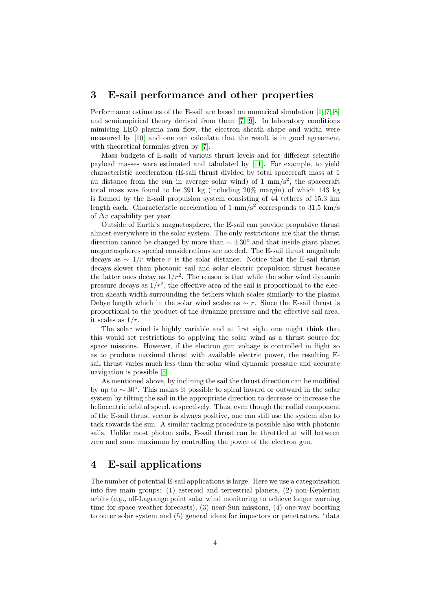## <span id="page-3-0"></span>3 E-sail performance and other properties

Performance estimates of the E-sail are based on numerical simulation [\[1,](#page-13-0) [7,](#page-13-5) [8\]](#page-13-6) and semiempirical theory derived from them [\[7,](#page-13-5) [9\]](#page-13-7). In laboratory conditions mimicing LEO plasma ram flow, the electron sheath shape and width were measured by [\[10\]](#page-13-8) and one can calculate that the result is in good agreement with theoretical formulas given by [\[7\]](#page-13-5).

Mass budgets of E-sails of various thrust levels and for different scientific payload masses were estimated and tabulated by [\[11\]](#page-13-9). For example, to yield characteristic acceleration (E-sail thrust divided by total spacecraft mass at 1 au distance from the sun in average solar wind) of  $1 \text{ mm/s}^2$ , the spacecraft total mass was found to be 391 kg (including 20% margin) of which 143 kg is formed by the E-sail propulsion system consisting of 44 tethers of 15.3 km length each. Characteristic acceleration of  $1 \text{ mm/s}^2$  corresponds to  $31.5 \text{ km/s}$ of  $\Delta v$  capability per year.

Outside of Earth's magnetosphere, the E-sail can provide propulsive thrust almost everywhere in the solar system. The only restrictions are that the thrust direction cannot be changed by more than  $\sim \pm 30^{\circ}$  and that inside giant planet magnetospheres special considerations are needed. The E-sail thrust magnitude decays as  $\sim 1/r$  where r is the solar distance. Notice that the E-sail thrust decays slower than photonic sail and solar electric propulsion thrust because the latter ones decay as  $1/r^2$ . The reason is that while the solar wind dynamic pressure decays as  $1/r^2$ , the effective area of the sail is proportional to the electron sheath width surrounding the tethers which scales similarly to the plasma Debye length which in the solar wind scales as  $\sim r$ . Since the E-sail thrust is proportional to the product of the dynamic pressure and the effective sail area, it scales as  $1/r$ .

The solar wind is highly variable and at first sight one might think that this would set restrictions to applying the solar wind as a thrust source for space missions. However, if the electron gun voltage is controlled in flight so as to produce maximal thrust with available electric power, the resulting Esail thrust varies much less than the solar wind dynamic pressure and accurate navigation is possible [\[5\]](#page-13-10).

As mentioned above, by inclining the sail the thrust direction can be modified by up to  $\sim 30^{\circ}$ . This makes it possible to spiral inward or outward in the solar system by tilting the sail in the appropriate direction to decrease or increase the heliocentric orbital speed, respectively. Thus, even though the radial component of the E-sail thrust vector is always positive, one can still use the system also to tack towards the sun. A similar tacking procedure is possible also with photonic sails. Unlike most photon sails, E-sail thrust can be throttled at will between zero and some maximum by controlling the power of the electron gun.

# 4 E-sail applications

The number of potential E-sail applications is large. Here we use a categorisation into five main groups: (1) asteroid and terrestrial planets, (2) non-Keplerian orbits (e.g., off-Lagrange point solar wind monitoring to achieve longer warning time for space weather forecasts), (3) near-Sun missions, (4) one-way boosting to outer solar system and (5) general ideas for impactors or penetrators, "data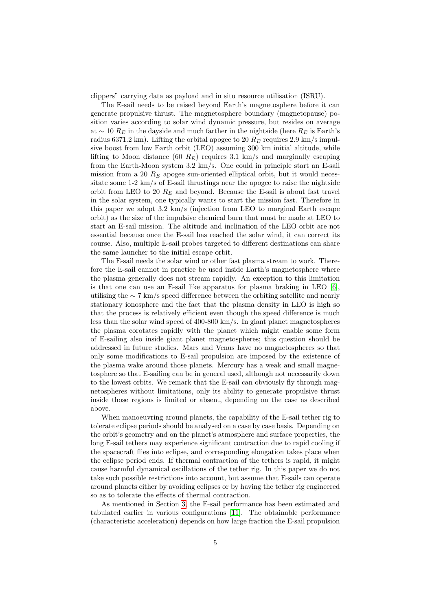clippers" carrying data as payload and in situ resource utilisation (ISRU).

The E-sail needs to be raised beyond Earth's magnetosphere before it can generate propulsive thrust. The magnetosphere boundary (magnetopause) position varies according to solar wind dynamic pressure, but resides on average at ~ 10  $R_E$  in the dayside and much farther in the nightside (here  $R_E$  is Earth's radius 6371.2 km). Lifting the orbital apogee to 20  $R_E$  requires 2.9 km/s impulsive boost from low Earth orbit (LEO) assuming 300 km initial altitude, while lifting to Moon distance (60  $R_E$ ) requires 3.1 km/s and marginally escaping from the Earth-Moon system 3.2 km/s. One could in principle start an E-sail mission from a 20  $R_E$  apogee sun-oriented elliptical orbit, but it would necessitate some 1-2 km/s of E-sail thrustings near the apogee to raise the nightside orbit from LEO to 20  $R_E$  and beyond. Because the E-sail is about fast travel in the solar system, one typically wants to start the mission fast. Therefore in this paper we adopt 3.2 km/s (injection from LEO to marginal Earth escape orbit) as the size of the impulsive chemical burn that must be made at LEO to start an E-sail mission. The altitude and inclination of the LEO orbit are not essential because once the E-sail has reached the solar wind, it can correct its course. Also, multiple E-sail probes targeted to different destinations can share the same launcher to the initial escape orbit.

The E-sail needs the solar wind or other fast plasma stream to work. Therefore the E-sail cannot in practice be used inside Earth's magnetosphere where the plasma generally does not stream rapidly. An exception to this limitation is that one can use an E-sail like apparatus for plasma braking in LEO  $[6]$ , utilising the ∼ 7 km/s speed difference between the orbiting satellite and nearly stationary ionosphere and the fact that the plasma density in LEO is high so that the process is relatively efficient even though the speed difference is much less than the solar wind speed of 400-800 km/s. In giant planet magnetospheres the plasma corotates rapidly with the planet which might enable some form of E-sailing also inside giant planet magnetospheres; this question should be addressed in future studies. Mars and Venus have no magnetospheres so that only some modifications to E-sail propulsion are imposed by the existence of the plasma wake around those planets. Mercury has a weak and small magnetosphere so that E-sailing can be in general used, although not necessarily down to the lowest orbits. We remark that the E-sail can obviously fly through magnetospheres without limitations, only its ability to generate propulsive thrust inside those regions is limited or absent, depending on the case as described above.

When manoeuvring around planets, the capability of the E-sail tether rig to tolerate eclipse periods should be analysed on a case by case basis. Depending on the orbit's geometry and on the planet's atmosphere and surface properties, the long E-sail tethers may experience significant contraction due to rapid cooling if the spacecraft flies into eclipse, and corresponding elongation takes place when the eclipse period ends. If thermal contraction of the tethers is rapid, it might cause harmful dynamical oscillations of the tether rig. In this paper we do not take such possible restrictions into account, but assume that E-sails can operate around planets either by avoiding eclipses or by having the tether rig engineered so as to tolerate the effects of thermal contraction.

As mentioned in Section [3,](#page-3-0) the E-sail performance has been estimated and tabulated earlier in various configurations [\[11\]](#page-13-9). The obtainable performance (characteristic acceleration) depends on how large fraction the E-sail propulsion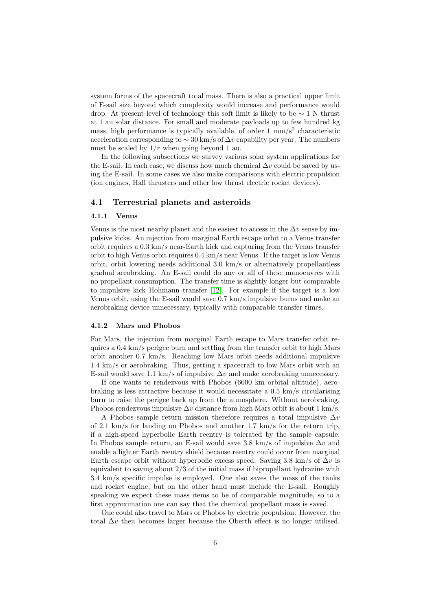system forms of the spacecraft total mass. There is also a practical upper limit of E-sail size beyond which complexity would increase and performance would drop. At present level of technology this soft limit is likely to be  $\sim 1$  N thrust at 1 au solar distance. For small and moderate payloads up to few hundred kg mass, high performance is typically available, of order  $1 \text{ mm/s}^2$  characteristic acceleration corresponding to  $\sim 30 \text{ km/s}$  of  $\Delta v$  capability per year. The numbers must be scaled by  $1/r$  when going beyond 1 au.

In the following subsections we survey various solar system applications for the E-sail. In each case, we discuss how much chemical  $\Delta v$  could be saved by using the E-sail. In some cases we also make comparisons with electric propulsion (ion engines, Hall thrusters and other low thrust electric rocket devices).

#### 4.1 Terrestrial planets and asteroids

#### 4.1.1 Venus

Venus is the most nearby planet and the easiest to access in the  $\Delta v$  sense by impulsive kicks. An injection from marginal Earth escape orbit to a Venus transfer orbit requires a 0.3 km/s near-Earth kick and capturing from the Venus transfer orbit to high Venus orbit requires 0.4 km/s near Venus. If the target is low Venus orbit, orbit lowering needs additional 3.0 km/s or alternatively propellantless gradual aerobraking. An E-sail could do any or all of these manoeuvres with no propellant consumption. The transfer time is slightly longer but comparable to impulsive kick Hohmann transfer [\[12\]](#page-13-11). For example if the target is a low Venus orbit, using the E-sail would save 0.7 km/s impulsive burns and make an aerobraking device unnecessary, typically with comparable transfer times.

#### 4.1.2 Mars and Phobos

For Mars, the injection from marginal Earth escape to Mars transfer orbit requires a 0.4 km/s perigee burn and settling from the transfer orbit to high Mars orbit another 0.7 km/s. Reaching low Mars orbit needs additional impulsive 1.4 km/s or aerobraking. Thus, getting a spacecraft to low Mars orbit with an E-sail would save 1.1 km/s of impulsive  $\Delta v$  and make aerobraking unnecessary.

If one wants to rendezvous with Phobos (6000 km orbital altitude), aerobraking is less attractive because it would necessitate a 0.5 km/s circularising burn to raise the perigee back up from the atmosphere. Without aerobraking, Phobos rendezvous impulsive  $\Delta v$  distance from high Mars orbit is about 1 km/s.

A Phobos sample return mission therefore requires a total impulsive  $\Delta v$ of 2.1 km/s for landing on Phobos and another 1.7 km/s for the return trip, if a high-speed hyperbolic Earth reentry is tolerated by the sample capsule. In Phobos sample return, an E-sail would save 3.8 km/s of impulsive  $\Delta v$  and enable a lighter Earth reentry shield because reentry could occur from marginal Earth escape orbit without hyperbolic excess speed. Saving 3.8 km/s of  $\Delta v$  is equivalent to saving about 2/3 of the initial mass if bipropellant hydrazine with 3.4 km/s specific impulse is employed. One also saves the mass of the tanks and rocket engine, but on the other hand must include the E-sail. Roughly speaking we expect these mass items to be of comparable magnitude, so to a first approximation one can say that the chemical propellant mass is saved.

One could also travel to Mars or Phobos by electric propulsion. However, the total  $\Delta v$  then becomes larger because the Oberth effect is no longer utilised.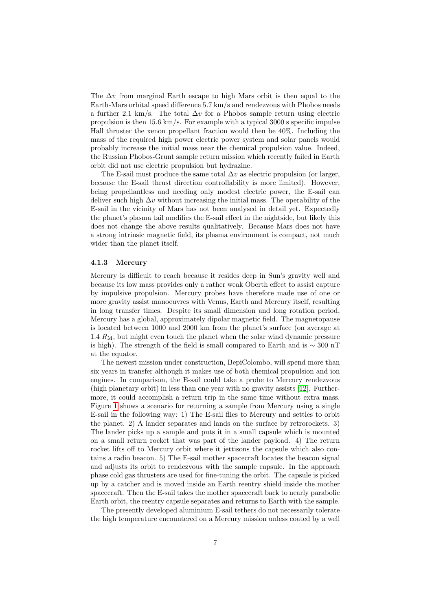The  $\Delta v$  from marginal Earth escape to high Mars orbit is then equal to the Earth-Mars orbital speed difference 5.7 km/s and rendezvous with Phobos needs a further 2.1 km/s. The total  $\Delta v$  for a Phobos sample return using electric propulsion is then 15.6 km/s. For example with a typical 3000 s specific impulse Hall thruster the xenon propellant fraction would then be 40%. Including the mass of the required high power electric power system and solar panels would probably increase the initial mass near the chemical propulsion value. Indeed, the Russian Phobos-Grunt sample return mission which recently failed in Earth orbit did not use electric propulsion but hydrazine.

The E-sail must produce the same total  $\Delta v$  as electric propulsion (or larger, because the E-sail thrust direction controllability is more limited). However, being propellantless and needing only modest electric power, the E-sail can deliver such high  $\Delta v$  without increasing the initial mass. The operability of the E-sail in the vicinity of Mars has not been analysed in detail yet. Expectedly the planet's plasma tail modifies the E-sail effect in the nightside, but likely this does not change the above results qualitatively. Because Mars does not have a strong intrinsic magnetic field, its plasma environment is compact, not much wider than the planet itself.

#### 4.1.3 Mercury

Mercury is difficult to reach because it resides deep in Sun's gravity well and because its low mass provides only a rather weak Oberth effect to assist capture by impulsive propulsion. Mercury probes have therefore made use of one or more gravity assist manoeuvres with Venus, Earth and Mercury itself, resulting in long transfer times. Despite its small dimension and long rotation period, Mercury has a global, approximately dipolar magnetic field. The magnetopause is located between 1000 and 2000 km from the planet's surface (on average at  $1.4 R<sub>M</sub>$ , but might even touch the planet when the solar wind dynamic pressure is high). The strength of the field is small compared to Earth and is ∼ 300 nT at the equator.

The newest mission under construction, BepiColombo, will spend more than six years in transfer although it makes use of both chemical propulsion and ion engines. In comparison, the E-sail could take a probe to Mercury rendezvous (high planetary orbit) in less than one year with no gravity assists [\[12\]](#page-13-11). Furthermore, it could accomplish a return trip in the same time without extra mass. Figure [1](#page-15-0) shows a scenario for returning a sample from Mercury using a single E-sail in the following way: 1) The E-sail flies to Mercury and settles to orbit the planet. 2) A lander separates and lands on the surface by retrorockets. 3) The lander picks up a sample and puts it in a small capsule which is mounted on a small return rocket that was part of the lander payload. 4) The return rocket lifts off to Mercury orbit where it jettisons the capsule which also contains a radio beacon. 5) The E-sail mother spacecraft locates the beacon signal and adjusts its orbit to rendezvous with the sample capsule. In the approach phase cold gas thrusters are used for fine-tuning the orbit. The capsule is picked up by a catcher and is moved inside an Earth reentry shield inside the mother spacecraft. Then the E-sail takes the mother spacecraft back to nearly parabolic Earth orbit, the reentry capsule separates and returns to Earth with the sample.

The presently developed aluminium E-sail tethers do not necessarily tolerate the high temperature encountered on a Mercury mission unless coated by a well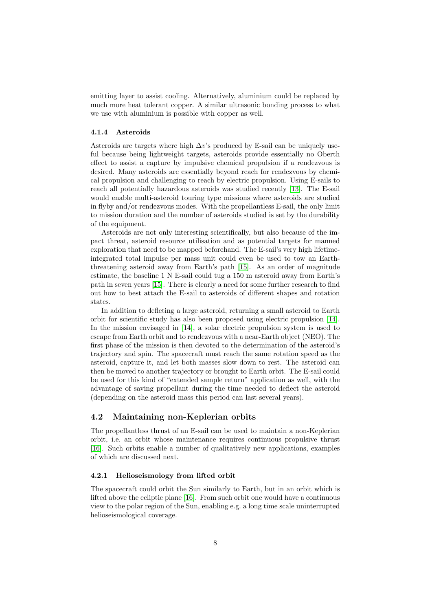emitting layer to assist cooling. Alternatively, aluminium could be replaced by much more heat tolerant copper. A similar ultrasonic bonding process to what we use with aluminium is possible with copper as well.

#### 4.1.4 Asteroids

Asteroids are targets where high  $\Delta v$ 's produced by E-sail can be uniquely useful because being lightweight targets, asteroids provide essentially no Oberth effect to assist a capture by impulsive chemical propulsion if a rendezvous is desired. Many asteroids are essentially beyond reach for rendezvous by chemical propulsion and challenging to reach by electric propulsion. Using E-sails to reach all potentially hazardous asteroids was studied recently [\[13\]](#page-13-12). The E-sail would enable multi-asteroid touring type missions where asteroids are studied in flyby and/or rendezvous modes. With the propellantless E-sail, the only limit to mission duration and the number of asteroids studied is set by the durability of the equipment.

Asteroids are not only interesting scientifically, but also because of the impact threat, asteroid resource utilisation and as potential targets for manned exploration that need to be mapped beforehand. The E-sail's very high lifetimeintegrated total impulse per mass unit could even be used to tow an Earththreatening asteroid away from Earth's path [\[15\]](#page-13-13). As an order of magnitude estimate, the baseline 1 N E-sail could tug a 150 m asteroid away from Earth's path in seven years [\[15\]](#page-13-13). There is clearly a need for some further research to find out how to best attach the E-sail to asteroids of different shapes and rotation states.

In addition to defleting a large asteroid, returning a small asteroid to Earth orbit for scientific study has also been proposed using electric propulsion [\[14\]](#page-13-14). In the mission envisaged in [\[14\]](#page-13-14), a solar electric propulsion system is used to escape from Earth orbit and to rendezvous with a near-Earth object (NEO). The first phase of the mission is then devoted to the determination of the asteroid's trajectory and spin. The spacecraft must reach the same rotation speed as the asteroid, capture it, and let both masses slow down to rest. The asteroid can then be moved to another trajectory or brought to Earth orbit. The E-sail could be used for this kind of "extended sample return" application as well, with the advantage of saving propellant during the time needed to deflect the asteroid (depending on the asteroid mass this period can last several years).

#### 4.2 Maintaining non-Keplerian orbits

The propellantless thrust of an E-sail can be used to maintain a non-Keplerian orbit, i.e. an orbit whose maintenance requires continuous propulsive thrust [\[16\]](#page-14-0). Such orbits enable a number of qualitatively new applications, examples of which are discussed next.

#### 4.2.1 Helioseismology from lifted orbit

The spacecraft could orbit the Sun similarly to Earth, but in an orbit which is lifted above the ecliptic plane [\[16\]](#page-14-0). From such orbit one would have a continuous view to the polar region of the Sun, enabling e.g. a long time scale uninterrupted helioseismological coverage.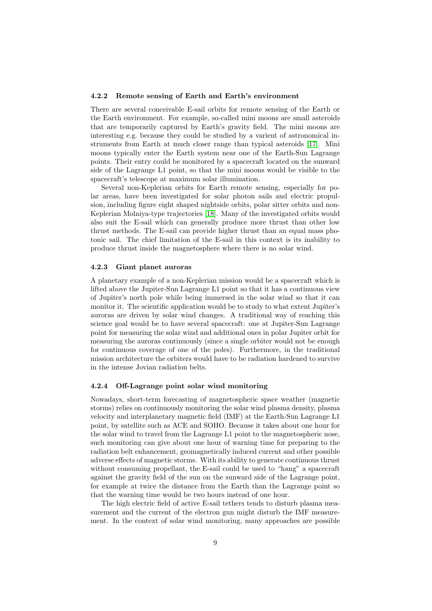#### 4.2.2 Remote sensing of Earth and Earth's environment

There are several conceivable E-sail orbits for remote sensing of the Earth or the Earth environment. For example, so-called mini moons are small asteroids that are temporarily captured by Earth's gravity field. The mini moons are interesting e.g. because they could be studied by a varient of astronomical instruments from Earth at much closer range than typical asteroids [\[17\]](#page-14-1). Mini moons typically enter the Earth system near one of the Earth-Sun Lagrange points. Their entry could be monitored by a spacecraft located on the sunward side of the Lagrange L1 point, so that the mini moons would be visible to the spacecraft's telescope at maximum solar illumination.

Several non-Keplerian orbits for Earth remote sensing, especially for polar areas, have been investigated for solar photon sails and electric propulsion, including figure eight shaped nightside orbits, polar sitter orbits and non-Keplerian Molniya-type trajectories [\[18\]](#page-14-2). Many of the investigated orbits would also suit the E-sail which can generally produce more thrust than other low thrust methods. The E-sail can provide higher thrust than an equal mass photonic sail. The chief limitation of the E-sail in this context is its inability to produce thrust inside the magnetosphere where there is no solar wind.

#### 4.2.3 Giant planet auroras

A planetary example of a non-Keplerian mission would be a spacecraft which is lifted above the Jupiter-Sun Lagrange L1 point so that it has a continuous view of Jupiter's north pole while being immersed in the solar wind so that it can monitor it. The scientific application would be to study to what extent Jupiter's auroras are driven by solar wind changes. A traditional way of reaching this science goal would be to have several spacecraft: one at Jupiter-Sun Lagrange point for measuring the solar wind and additional ones in polar Jupiter orbit for measuring the auroras continuously (since a single orbiter would not be enough for continuous coverage of one of the poles). Furthermore, in the traditional mission architecture the orbiters would have to be radiation hardened to survive in the intense Jovian radiation belts.

#### 4.2.4 Off-Lagrange point solar wind monitoring

Nowadays, short-term forecasting of magnetospheric space weather (magnetic storms) relies on continuously monitoring the solar wind plasma density, plasma velocity and interplanetary magnetic field (IMF) at the Earth-Sun Lagrange L1 point, by satellite such as ACE and SOHO. Because it takes about one hour for the solar wind to travel from the Lagrange L1 point to the magnetospheric nose, such monitoring can give about one hour of warning time for preparing to the radiation belt enhancement, geomagnetically induced current and other possible adverse effects of magnetic storms. With its ability to generate continuous thrust without consuming propellant, the E-sail could be used to "hang" a spacecraft against the gravity field of the sun on the sunward side of the Lagrange point, for example at twice the distance from the Earth than the Lagrange point so that the warning time would be two hours instead of one hour.

The high electric field of active E-sail tethers tends to disturb plasma measurement and the current of the electron gun might disturb the IMF measurement. In the context of solar wind monitoring, many approaches are possible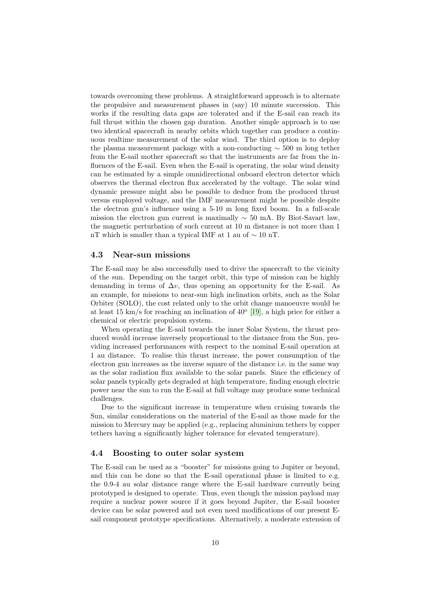towards overcoming these problems. A straightforward approach is to alternate the propulsive and measurement phases in (say) 10 minute succession. This works if the resulting data gaps are tolerated and if the E-sail can reach its full thrust within the chosen gap duration. Another simple approach is to use two identical spacecraft in nearby orbits which together can produce a continuous realtime measurement of the solar wind. The third option is to deploy the plasma measurement package with a non-conducting  $\sim$  500 m long tether from the E-sail mother spacecraft so that the instruments are far from the influences of the E-sail. Even when the E-sail is operating, the solar wind density can be estimated by a simple omnidirectional onboard electron detector which observes the thermal electron flux accelerated by the voltage. The solar wind dynamic pressure might also be possible to deduce from the produced thrust versus employed voltage, and the IMF measurement might be possible despite the electron gun's influence using a 5-10 m long fixed boom. In a full-scale mission the electron gun current is maximally  $\sim$  50 mA. By Biot-Savart law, the magnetic perturbation of such current at 10 m distance is not more than 1 nT which is smaller than a typical IMF at 1 au of ∼ 10 nT.

#### 4.3 Near-sun missions

The E-sail may be also successfully used to drive the spacecraft to the vicinity of the sun. Depending on the target orbit, this type of mission can be highly demanding in terms of  $\Delta v$ , thus opening an opportunity for the E-sail. As an example, for missions to near-sun high inclination orbits, such as the Solar Orbiter (SOLO), the cost related only to the orbit change manoeuvre would be at least 15 km/s for reaching an inclination of  $40^{\circ}$  [\[19\]](#page-14-3), a high price for either a chemical or electric propulsion system.

When operating the E-sail towards the inner Solar System, the thrust produced would increase inversely proportional to the distance from the Sun, providing increased performances with respect to the nominal E-sail operation at 1 au distance. To realise this thrust increase, the power consumption of the electron gun increases as the inverse square of the distance i.e. in the same way as the solar radiation flux available to the solar panels. Since the efficiency of solar panels typically gets degraded at high temperature, finding enough electric power near the sun to run the E-sail at full voltage may produce some technical challenges.

Due to the significant increase in temperature when cruising towards the Sun, similar considerations on the material of the E-sail as those made for the mission to Mercury may be applied (e.g., replacing aluminium tethers by copper tethers having a significantly higher tolerance for elevated temperature).

#### 4.4 Boosting to outer solar system

The E-sail can be used as a "booster" for missions going to Jupiter or beyond, and this can be done so that the E-sail operational phase is limited to e.g. the 0.9-4 au solar distance range where the E-sail hardware currently being prototyped is designed to operate. Thus, even though the mission payload may require a nuclear power source if it goes beyond Jupiter, the E-sail booster device can be solar powered and not even need modifications of our present Esail component prototype specifications. Alternatively, a moderate extension of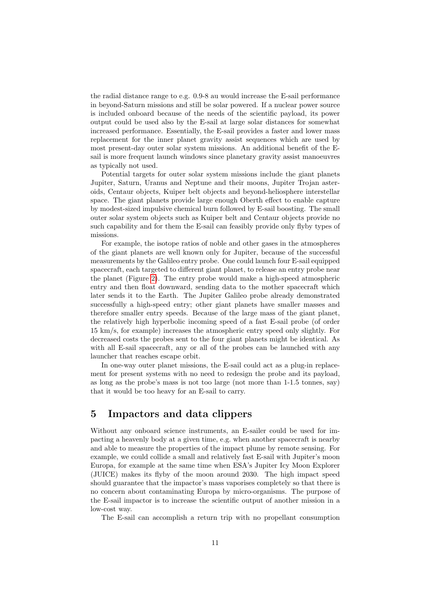the radial distance range to e.g. 0.9-8 au would increase the E-sail performance in beyond-Saturn missions and still be solar powered. If a nuclear power source is included onboard because of the needs of the scientific payload, its power output could be used also by the E-sail at large solar distances for somewhat increased performance. Essentially, the E-sail provides a faster and lower mass replacement for the inner planet gravity assist sequences which are used by most present-day outer solar system missions. An additional benefit of the Esail is more frequent launch windows since planetary gravity assist manoeuvres as typically not used.

Potential targets for outer solar system missions include the giant planets Jupiter, Saturn, Uranus and Neptune and their moons, Jupiter Trojan asteroids, Centaur objects, Kuiper belt objects and beyond-heliosphere interstellar space. The giant planets provide large enough Oberth effect to enable capture by modest-sized impulsive chemical burn followed by E-sail boosting. The small outer solar system objects such as Kuiper belt and Centaur objects provide no such capability and for them the E-sail can feasibly provide only flyby types of missions.

For example, the isotope ratios of noble and other gases in the atmospheres of the giant planets are well known only for Jupiter, because of the successful measurements by the Galileo entry probe. One could launch four E-sail equipped spacecraft, each targeted to different giant planet, to release an entry probe near the planet (Figure [2\)](#page-16-0). The entry probe would make a high-speed atmospheric entry and then float downward, sending data to the mother spacecraft which later sends it to the Earth. The Jupiter Galileo probe already demonstrated successfully a high-speed entry; other giant planets have smaller masses and therefore smaller entry speeds. Because of the large mass of the giant planet, the relatively high hyperbolic incoming speed of a fast E-sail probe (of order 15 km/s, for example) increases the atmospheric entry speed only slightly. For decreased costs the probes sent to the four giant planets might be identical. As with all E-sail spacecraft, any or all of the probes can be launched with any launcher that reaches escape orbit.

In one-way outer planet missions, the E-sail could act as a plug-in replacement for present systems with no need to redesign the probe and its payload, as long as the probe's mass is not too large (not more than 1-1.5 tonnes, say) that it would be too heavy for an E-sail to carry.

# 5 Impactors and data clippers

Without any onboard science instruments, an E-sailer could be used for impacting a heavenly body at a given time, e.g. when another spacecraft is nearby and able to measure the properties of the impact plume by remote sensing. For example, we could collide a small and relatively fast E-sail with Jupiter's moon Europa, for example at the same time when ESA's Jupiter Icy Moon Explorer (JUICE) makes its flyby of the moon around 2030. The high impact speed should guarantee that the impactor's mass vaporises completely so that there is no concern about contaminating Europa by micro-organisms. The purpose of the E-sail impactor is to increase the scientific output of another mission in a low-cost way.

The E-sail can accomplish a return trip with no propellant consumption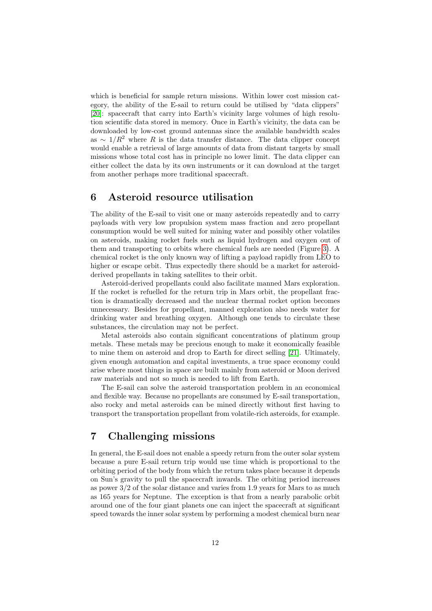which is beneficial for sample return missions. Within lower cost mission category, the ability of the E-sail to return could be utilised by "data clippers" [\[20\]](#page-14-4): spacecraft that carry into Earth's vicinity large volumes of high resolution scientific data stored in memory. Once in Earth's vicinity, the data can be downloaded by low-cost ground antennas since the available bandwidth scales as  $\sim 1/R^2$  where R is the data transfer distance. The data clipper concept would enable a retrieval of large amounts of data from distant targets by small missions whose total cost has in principle no lower limit. The data clipper can either collect the data by its own instruments or it can download at the target from another perhaps more traditional spacecraft.

## 6 Asteroid resource utilisation

The ability of the E-sail to visit one or many asteroids repeatedly and to carry payloads with very low propulsion system mass fraction and zero propellant consumption would be well suited for mining water and possibly other volatiles on asteroids, making rocket fuels such as liquid hydrogen and oxygen out of them and transporting to orbits where chemical fuels are needed (Figure [3\)](#page-17-0). A chemical rocket is the only known way of lifting a payload rapidly from LEO to higher or escape orbit. Thus expectedly there should be a market for asteroidderived propellants in taking satellites to their orbit.

Asteroid-derived propellants could also facilitate manned Mars exploration. If the rocket is refuelled for the return trip in Mars orbit, the propellant fraction is dramatically decreased and the nuclear thermal rocket option becomes unnecessary. Besides for propellant, manned exploration also needs water for drinking water and breathing oxygen. Although one tends to circulate these substances, the circulation may not be perfect.

Metal asteroids also contain significant concentrations of platinum group metals. These metals may be precious enough to make it economically feasible to mine them on asteroid and drop to Earth for direct selling [\[21\]](#page-14-5). Ultimately, given enough automation and capital investments, a true space economy could arise where most things in space are built mainly from asteroid or Moon derived raw materials and not so much is needed to lift from Earth.

The E-sail can solve the asteroid transportation problem in an economical and flexible way. Because no propellants are consumed by E-sail transportation, also rocky and metal asteroids can be mined directly without first having to transport the transportation propellant from volatile-rich asteroids, for example.

# 7 Challenging missions

In general, the E-sail does not enable a speedy return from the outer solar system because a pure E-sail return trip would use time which is proportional to the orbiting period of the body from which the return takes place because it depends on Sun's gravity to pull the spacecraft inwards. The orbiting period increases as power 3/2 of the solar distance and varies from 1.9 years for Mars to as much as 165 years for Neptune. The exception is that from a nearly parabolic orbit around one of the four giant planets one can inject the spacecraft at significant speed towards the inner solar system by performing a modest chemical burn near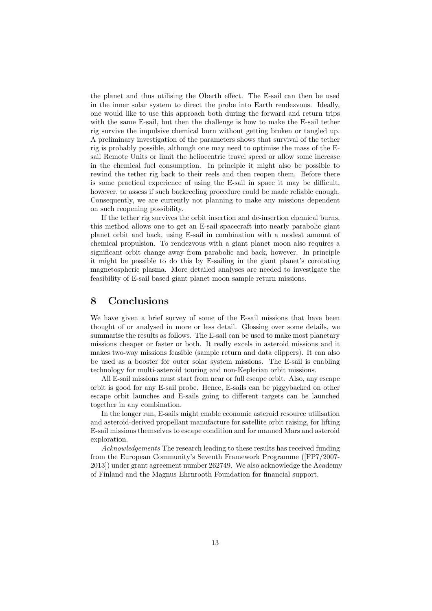the planet and thus utilising the Oberth effect. The E-sail can then be used in the inner solar system to direct the probe into Earth rendezvous. Ideally, one would like to use this approach both during the forward and return trips with the same E-sail, but then the challenge is how to make the E-sail tether rig survive the impulsive chemical burn without getting broken or tangled up. A preliminary investigation of the parameters shows that survival of the tether rig is probably possible, although one may need to optimise the mass of the Esail Remote Units or limit the heliocentric travel speed or allow some increase in the chemical fuel consumption. In principle it might also be possible to rewind the tether rig back to their reels and then reopen them. Before there is some practical experience of using the E-sail in space it may be difficult, however, to assess if such backreeling procedure could be made reliable enough. Consequently, we are currently not planning to make any missions dependent on such reopening possibility.

If the tether rig survives the orbit insertion and de-insertion chemical burns, this method allows one to get an E-sail spacecraft into nearly parabolic giant planet orbit and back, using E-sail in combination with a modest amount of chemical propulsion. To rendezvous with a giant planet moon also requires a significant orbit change away from parabolic and back, however. In principle it might be possible to do this by E-sailing in the giant planet's corotating magnetospheric plasma. More detailed analyses are needed to investigate the feasibility of E-sail based giant planet moon sample return missions.

### 8 Conclusions

We have given a brief survey of some of the E-sail missions that have been thought of or analysed in more or less detail. Glossing over some details, we summarise the results as follows. The E-sail can be used to make most planetary missions cheaper or faster or both. It really excels in asteroid missions and it makes two-way missions feasible (sample return and data clippers). It can also be used as a booster for outer solar system missions. The E-sail is enabling technology for multi-asteroid touring and non-Keplerian orbit missions.

All E-sail missions must start from near or full escape orbit. Also, any escape orbit is good for any E-sail probe. Hence, E-sails can be piggybacked on other escape orbit launches and E-sails going to different targets can be launched together in any combination.

In the longer run, E-sails might enable economic asteroid resource utilisation and asteroid-derived propellant manufacture for satellite orbit raising, for lifting E-sail missions themselves to escape condition and for manned Mars and asteroid exploration.

Acknowledgements The research leading to these results has received funding from the European Community's Seventh Framework Programme ([FP7/2007- 2013]) under grant agreement number 262749. We also acknowledge the Academy of Finland and the Magnus Ehrnrooth Foundation for financial support.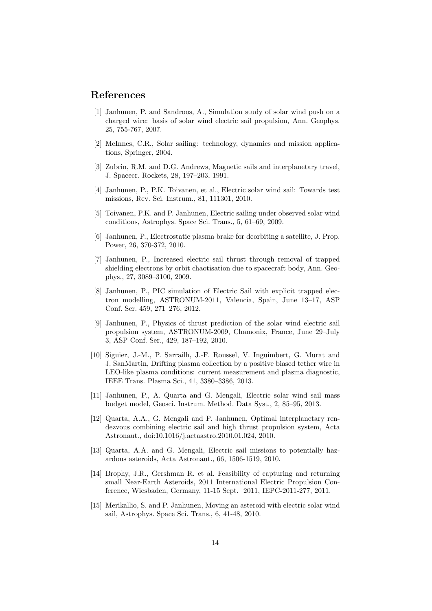## References

- <span id="page-13-0"></span>[1] Janhunen, P. and Sandroos, A., Simulation study of solar wind push on a charged wire: basis of solar wind electric sail propulsion, Ann. Geophys. 25, 755-767, 2007.
- <span id="page-13-1"></span>[2] McInnes, C.R., Solar sailing: technology, dynamics and mission applications, Springer, 2004.
- <span id="page-13-2"></span>[3] Zubrin, R.M. and D.G. Andrews, Magnetic sails and interplanetary travel, J. Spacecr. Rockets, 28, 197–203, 1991.
- <span id="page-13-3"></span>[4] Janhunen, P., P.K. Toivanen, et al., Electric solar wind sail: Towards test missions, Rev. Sci. Instrum., 81, 111301, 2010.
- <span id="page-13-10"></span>[5] Toivanen, P.K. and P. Janhunen, Electric sailing under observed solar wind conditions, Astrophys. Space Sci. Trans., 5, 61–69, 2009.
- <span id="page-13-4"></span>[6] Janhunen, P., Electrostatic plasma brake for deorbiting a satellite, J. Prop. Power, 26, 370-372, 2010.
- <span id="page-13-5"></span>[7] Janhunen, P., Increased electric sail thrust through removal of trapped shielding electrons by orbit chaotisation due to spacecraft body, Ann. Geophys., 27, 3089–3100, 2009.
- <span id="page-13-6"></span>[8] Janhunen, P., PIC simulation of Electric Sail with explicit trapped electron modelling, ASTRONUM-2011, Valencia, Spain, June 13–17, ASP Conf. Ser. 459, 271–276, 2012.
- <span id="page-13-7"></span>[9] Janhunen, P., Physics of thrust prediction of the solar wind electric sail propulsion system, ASTRONUM-2009, Chamonix, France, June 29–July 3, ASP Conf. Ser., 429, 187–192, 2010.
- <span id="page-13-8"></span>[10] Siguier, J.-M., P. Sarrailh, J.-F. Roussel, V. Inguimbert, G. Murat and J. SanMartin, Drifting plasma collection by a positive biased tether wire in LEO-like plasma conditions: current measurement and plasma diagnostic, IEEE Trans. Plasma Sci., 41, 3380–3386, 2013.
- <span id="page-13-9"></span>[11] Janhunen, P., A. Quarta and G. Mengali, Electric solar wind sail mass budget model, Geosci. Instrum. Method. Data Syst., 2, 85–95, 2013.
- <span id="page-13-11"></span>[12] Quarta, A.A., G. Mengali and P. Janhunen, Optimal interplanetary rendezvous combining electric sail and high thrust propulsion system, Acta Astronaut., doi:10.1016/j.actaastro.2010.01.024, 2010.
- <span id="page-13-12"></span>[13] Quarta, A.A. and G. Mengali, Electric sail missions to potentially hazardous asteroids, Acta Astronaut., 66, 1506-1519, 2010.
- <span id="page-13-14"></span>[14] Brophy, J.R., Gershman R. et al. Feasibility of capturing and returning small Near-Earth Asteroids, 2011 International Electric Propulsion Conference, Wiesbaden, Germany, 11-15 Sept. 2011, IEPC-2011-277, 2011.
- <span id="page-13-13"></span>[15] Merikallio, S. and P. Janhunen, Moving an asteroid with electric solar wind sail, Astrophys. Space Sci. Trans., 6, 41-48, 2010.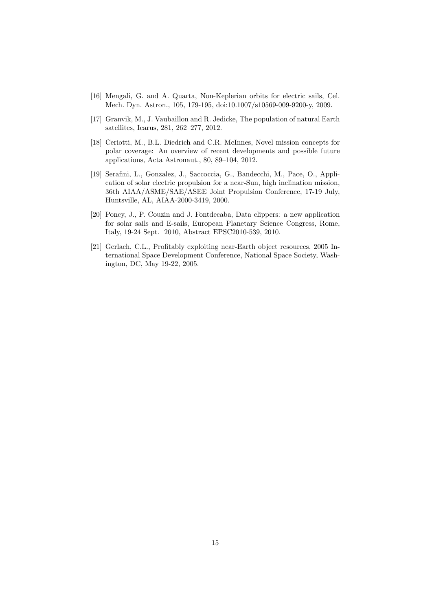- <span id="page-14-0"></span>[16] Mengali, G. and A. Quarta, Non-Keplerian orbits for electric sails, Cel. Mech. Dyn. Astron., 105, 179-195, doi:10.1007/s10569-009-9200-y, 2009.
- <span id="page-14-1"></span>[17] Granvik, M., J. Vaubaillon and R. Jedicke, The population of natural Earth satellites, Icarus, 281, 262–277, 2012.
- <span id="page-14-2"></span>[18] Ceriotti, M., B.L. Diedrich and C.R. McInnes, Novel mission concepts for polar coverage: An overview of recent developments and possible future applications, Acta Astronaut., 80, 89–104, 2012.
- <span id="page-14-3"></span>[19] Serafini, L., Gonzalez, J., Saccoccia, G., Bandecchi, M., Pace, O., Application of solar electric propulsion for a near-Sun, high inclination mission, 36th AIAA/ASME/SAE/ASEE Joint Propulsion Conference, 17-19 July, Huntsville, AL, AIAA-2000-3419, 2000.
- <span id="page-14-4"></span>[20] Poncy, J., P. Couzin and J. Fontdecaba, Data clippers: a new application for solar sails and E-sails, European Planetary Science Congress, Rome, Italy, 19-24 Sept. 2010, Abstract EPSC2010-539, 2010.
- <span id="page-14-5"></span>[21] Gerlach, C.L., Profitably exploiting near-Earth object resources, 2005 International Space Development Conference, National Space Society, Washington, DC, May 19-22, 2005.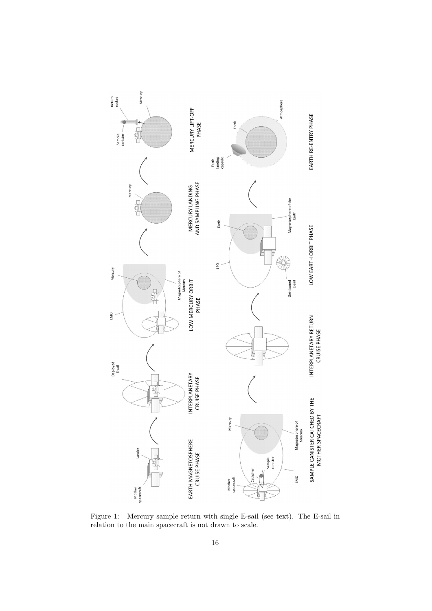

<span id="page-15-0"></span>Figure 1: Mercury sample return with single E-sail (see text). The E-sail in relation to the main spacecraft is not drawn to scale.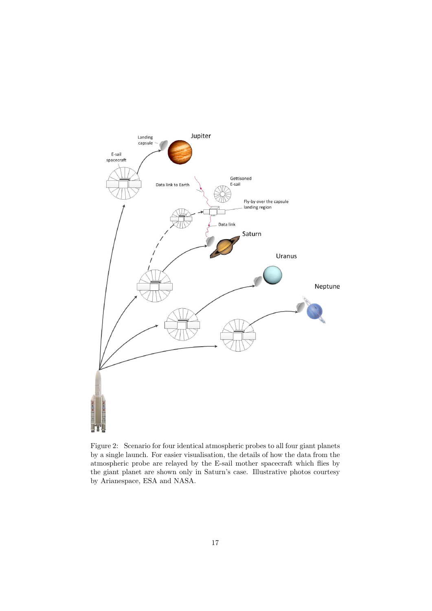

<span id="page-16-0"></span>Figure 2: Scenario for four identical atmospheric probes to all four giant planets by a single launch. For easier visualisation, the details of how the data from the atmospheric probe are relayed by the E-sail mother spacecraft which flies by the giant planet are shown only in Saturn's case. Illustrative photos courtesy by Arianespace, ESA and NASA.